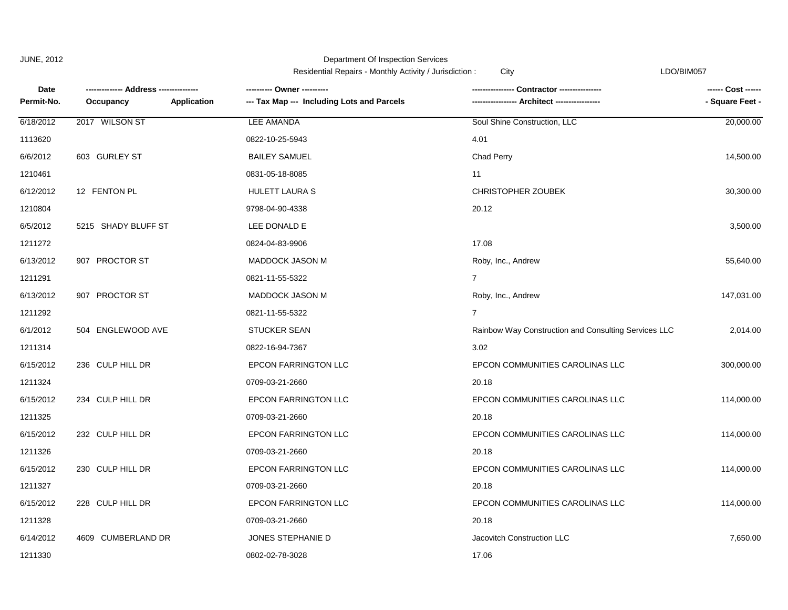Residential Repairs - Monthly Activity / Jurisdiction : City City Contact Contact Contact Contact Contact Conta

| Date       |                     |                    | ---------- Owner ----------                | Contractor ----------------                          | ------ Cost ------ |
|------------|---------------------|--------------------|--------------------------------------------|------------------------------------------------------|--------------------|
| Permit-No. | Occupancy           | <b>Application</b> | --- Tax Map --- Including Lots and Parcels | --- Architect -----------------                      | - Square Feet -    |
| 6/18/2012  | 2017 WILSON ST      |                    | LEE AMANDA                                 | Soul Shine Construction, LLC                         | 20,000.00          |
| 1113620    |                     |                    | 0822-10-25-5943                            | 4.01                                                 |                    |
| 6/6/2012   | 603 GURLEY ST       |                    | <b>BAILEY SAMUEL</b>                       | <b>Chad Perry</b>                                    | 14,500.00          |
| 1210461    |                     |                    | 0831-05-18-8085                            | 11                                                   |                    |
| 6/12/2012  | 12 FENTON PL        |                    | HULETT LAURA S                             | <b>CHRISTOPHER ZOUBEK</b>                            | 30,300.00          |
| 1210804    |                     |                    | 9798-04-90-4338                            | 20.12                                                |                    |
| 6/5/2012   | 5215 SHADY BLUFF ST |                    | LEE DONALD E                               |                                                      | 3,500.00           |
| 1211272    |                     |                    | 0824-04-83-9906                            | 17.08                                                |                    |
| 6/13/2012  | 907 PROCTOR ST      |                    | <b>MADDOCK JASON M</b>                     | Roby, Inc., Andrew                                   | 55,640.00          |
| 1211291    |                     |                    | 0821-11-55-5322                            | $\overline{7}$                                       |                    |
| 6/13/2012  | 907 PROCTOR ST      |                    | MADDOCK JASON M                            | Roby, Inc., Andrew                                   | 147,031.00         |
| 1211292    |                     |                    | 0821-11-55-5322                            | $\overline{7}$                                       |                    |
| 6/1/2012   | 504 ENGLEWOOD AVE   |                    | <b>STUCKER SEAN</b>                        | Rainbow Way Construction and Consulting Services LLC | 2,014.00           |
| 1211314    |                     |                    | 0822-16-94-7367                            | 3.02                                                 |                    |
| 6/15/2012  | 236 CULP HILL DR    |                    | <b>EPCON FARRINGTON LLC</b>                | EPCON COMMUNITIES CAROLINAS LLC                      | 300,000.00         |
| 1211324    |                     |                    | 0709-03-21-2660                            | 20.18                                                |                    |
| 6/15/2012  | 234 CULP HILL DR    |                    | <b>EPCON FARRINGTON LLC</b>                | EPCON COMMUNITIES CAROLINAS LLC                      | 114,000.00         |
| 1211325    |                     |                    | 0709-03-21-2660                            | 20.18                                                |                    |
| 6/15/2012  | 232 CULP HILL DR    |                    | <b>EPCON FARRINGTON LLC</b>                | EPCON COMMUNITIES CAROLINAS LLC                      | 114,000.00         |
| 1211326    |                     |                    | 0709-03-21-2660                            | 20.18                                                |                    |
| 6/15/2012  | 230 CULP HILL DR    |                    | <b>EPCON FARRINGTON LLC</b>                | EPCON COMMUNITIES CAROLINAS LLC                      | 114,000.00         |
| 1211327    |                     |                    | 0709-03-21-2660                            | 20.18                                                |                    |
| 6/15/2012  | 228 CULP HILL DR    |                    | EPCON FARRINGTON LLC                       | EPCON COMMUNITIES CAROLINAS LLC                      | 114,000.00         |
| 1211328    |                     |                    | 0709-03-21-2660                            | 20.18                                                |                    |
| 6/14/2012  | 4609 CUMBERLAND DR  |                    | JONES STEPHANIE D                          | Jacovitch Construction LLC                           | 7,650.00           |
| 1211330    |                     |                    | 0802-02-78-3028                            | 17.06                                                |                    |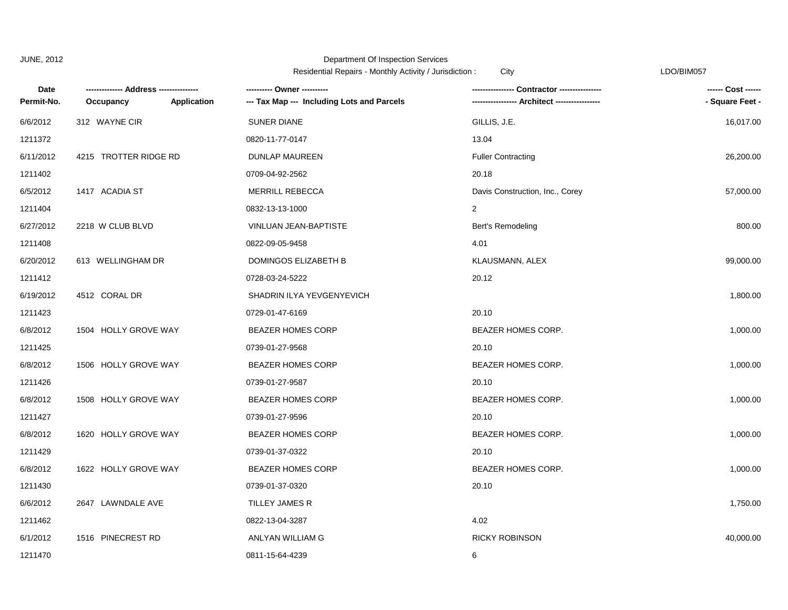| Date       | ----- Address ------- |             |                                            | Contractor ---------------      | ------ Cost ------ |
|------------|-----------------------|-------------|--------------------------------------------|---------------------------------|--------------------|
| Permit-No. | Occupancy             | Application | --- Tax Map --- Including Lots and Parcels |                                 | - Square Feet -    |
| 6/6/2012   | 312 WAYNE CIR         |             | <b>SUNER DIANE</b>                         | GILLIS, J.E.                    | 16,017.00          |
| 1211372    |                       |             | 0820-11-77-0147                            | 13.04                           |                    |
| 6/11/2012  | 4215 TROTTER RIDGE RD |             | DUNLAP MAUREEN                             | <b>Fuller Contracting</b>       | 26,200.00          |
| 1211402    |                       |             | 0709-04-92-2562                            | 20.18                           |                    |
| 6/5/2012   | 1417 ACADIA ST        |             | <b>MERRILL REBECCA</b>                     | Davis Construction, Inc., Corey | 57,000.00          |
| 1211404    |                       |             | 0832-13-13-1000                            | $\overline{2}$                  |                    |
| 6/27/2012  | 2218 W CLUB BLVD      |             | VINLUAN JEAN-BAPTISTE                      | Bert's Remodeling               | 800.00             |
| 1211408    |                       |             | 0822-09-05-9458                            | 4.01                            |                    |
| 6/20/2012  | 613 WELLINGHAM DR     |             | DOMINGOS ELIZABETH B                       | KLAUSMANN, ALEX                 | 99,000.00          |
| 1211412    |                       |             | 0728-03-24-5222                            | 20.12                           |                    |
| 6/19/2012  | 4512 CORAL DR         |             | SHADRIN ILYA YEVGENYEVICH                  |                                 | 1,800.00           |
| 1211423    |                       |             | 0729-01-47-6169                            | 20.10                           |                    |
| 6/8/2012   | 1504 HOLLY GROVE WAY  |             | <b>BEAZER HOMES CORP</b>                   | BEAZER HOMES CORP.              | 1,000.00           |
| 1211425    |                       |             | 0739-01-27-9568                            | 20.10                           |                    |
| 6/8/2012   | 1506 HOLLY GROVE WAY  |             | <b>BEAZER HOMES CORP</b>                   | BEAZER HOMES CORP.              | 1,000.00           |
| 1211426    |                       |             | 0739-01-27-9587                            | 20.10                           |                    |
| 6/8/2012   | 1508 HOLLY GROVE WAY  |             | <b>BEAZER HOMES CORP</b>                   | BEAZER HOMES CORP.              | 1,000.00           |
| 1211427    |                       |             | 0739-01-27-9596                            | 20.10                           |                    |
| 6/8/2012   | 1620 HOLLY GROVE WAY  |             | <b>BEAZER HOMES CORP</b>                   | BEAZER HOMES CORP.              | 1,000.00           |
| 1211429    |                       |             | 0739-01-37-0322                            | 20.10                           |                    |
| 6/8/2012   | 1622 HOLLY GROVE WAY  |             | <b>BEAZER HOMES CORP</b>                   | BEAZER HOMES CORP.              | 1,000.00           |
| 1211430    |                       |             | 0739-01-37-0320                            | 20.10                           |                    |
| 6/6/2012   | 2647 LAWNDALE AVE     |             | TILLEY JAMES R                             |                                 | 1,750.00           |
| 1211462    |                       |             | 0822-13-04-3287                            | 4.02                            |                    |
| 6/1/2012   | 1516 PINECREST RD     |             | ANLYAN WILLIAM G                           | <b>RICKY ROBINSON</b>           | 40,000.00          |
| 1211470    |                       |             | 0811-15-64-4239                            | 6                               |                    |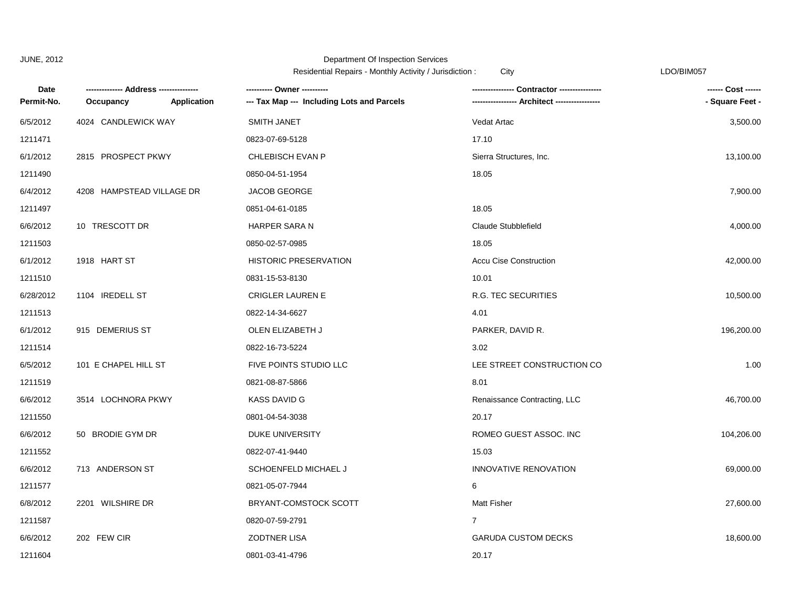|            |                           |                    | recrucing repairs monthly returny cancalogue. |                                             |                    |
|------------|---------------------------|--------------------|-----------------------------------------------|---------------------------------------------|--------------------|
| Date       |                           |                    | ---------- Owner ----------                   | Contractor ----------------                 | ------ Cost ------ |
| Permit-No. | Occupancy                 | <b>Application</b> | --- Tax Map --- Including Lots and Parcels    | ---------------- Architect ---------------- | - Square Feet -    |
| 6/5/2012   | 4024 CANDLEWICK WAY       |                    | SMITH JANET                                   | Vedat Artac                                 | 3,500.00           |
| 1211471    |                           |                    | 0823-07-69-5128                               | 17.10                                       |                    |
| 6/1/2012   | 2815 PROSPECT PKWY        |                    | CHLEBISCH EVAN P                              | Sierra Structures, Inc.                     | 13,100.00          |
| 1211490    |                           |                    | 0850-04-51-1954                               | 18.05                                       |                    |
| 6/4/2012   | 4208 HAMPSTEAD VILLAGE DR |                    | JACOB GEORGE                                  |                                             | 7,900.00           |
| 1211497    |                           |                    | 0851-04-61-0185                               | 18.05                                       |                    |
| 6/6/2012   | 10 TRESCOTT DR            |                    | HARPER SARA N                                 | Claude Stubblefield                         | 4,000.00           |
| 1211503    |                           |                    | 0850-02-57-0985                               | 18.05                                       |                    |
| 6/1/2012   | 1918 HART ST              |                    | <b>HISTORIC PRESERVATION</b>                  | <b>Accu Cise Construction</b>               | 42,000.00          |
| 1211510    |                           |                    | 0831-15-53-8130                               | 10.01                                       |                    |
| 6/28/2012  | 1104 IREDELL ST           |                    | <b>CRIGLER LAUREN E</b>                       | R.G. TEC SECURITIES                         | 10,500.00          |
| 1211513    |                           |                    | 0822-14-34-6627                               | 4.01                                        |                    |
| 6/1/2012   | 915 DEMERIUS ST           |                    | OLEN ELIZABETH J                              | PARKER, DAVID R.                            | 196,200.00         |
| 1211514    |                           |                    | 0822-16-73-5224                               | 3.02                                        |                    |
| 6/5/2012   | 101 E CHAPEL HILL ST      |                    | FIVE POINTS STUDIO LLC                        | LEE STREET CONSTRUCTION CO                  | 1.00               |
| 1211519    |                           |                    | 0821-08-87-5866                               | 8.01                                        |                    |
| 6/6/2012   | 3514 LOCHNORA PKWY        |                    | <b>KASS DAVID G</b>                           | Renaissance Contracting, LLC                | 46,700.00          |
| 1211550    |                           |                    | 0801-04-54-3038                               | 20.17                                       |                    |
| 6/6/2012   | 50 BRODIE GYM DR          |                    | <b>DUKE UNIVERSITY</b>                        | ROMEO GUEST ASSOC. INC                      | 104,206.00         |
| 1211552    |                           |                    | 0822-07-41-9440                               | 15.03                                       |                    |
| 6/6/2012   | 713 ANDERSON ST           |                    | SCHOENFELD MICHAEL J                          | <b>INNOVATIVE RENOVATION</b>                | 69,000.00          |
| 1211577    |                           |                    | 0821-05-07-7944                               | 6                                           |                    |
| 6/8/2012   | 2201 WILSHIRE DR          |                    | BRYANT-COMSTOCK SCOTT                         | <b>Matt Fisher</b>                          | 27,600.00          |
| 1211587    |                           |                    | 0820-07-59-2791                               | $\overline{7}$                              |                    |
| 6/6/2012   | 202 FEW CIR               |                    | <b>ZODTNER LISA</b>                           | <b>GARUDA CUSTOM DECKS</b>                  | 18,600.00          |
| 1211604    |                           |                    | 0801-03-41-4796                               | 20.17                                       |                    |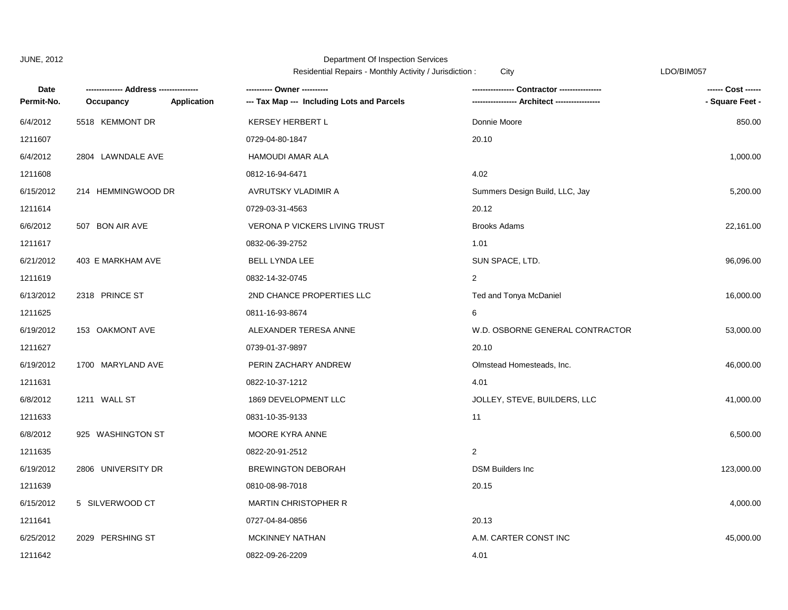|                    |                    |             | <b>INCORDINAL INCLUSS TRIVILING ACTIVITY</b> / JUISQUESSION               | Ulty                            | LUVIUIIVIUJI                          |
|--------------------|--------------------|-------------|---------------------------------------------------------------------------|---------------------------------|---------------------------------------|
| Date<br>Permit-No. | Occupancy          | Application | ---------- Owner ----------<br>--- Tax Map --- Including Lots and Parcels | Contractor ----------------     | ------ Cost ------<br>- Square Feet - |
| 6/4/2012           | 5518 KEMMONT DR    |             | <b>KERSEY HERBERT L</b>                                                   | Donnie Moore                    | 850.00                                |
| 1211607            |                    |             | 0729-04-80-1847                                                           | 20.10                           |                                       |
| 6/4/2012           | 2804 LAWNDALE AVE  |             | <b>HAMOUDI AMAR ALA</b>                                                   |                                 | 1,000.00                              |
| 1211608            |                    |             | 0812-16-94-6471                                                           | 4.02                            |                                       |
| 6/15/2012          | 214 HEMMINGWOOD DR |             | AVRUTSKY VLADIMIR A                                                       | Summers Design Build, LLC, Jay  | 5,200.00                              |
| 1211614            |                    |             | 0729-03-31-4563                                                           | 20.12                           |                                       |
| 6/6/2012           | 507 BON AIR AVE    |             | <b>VERONA P VICKERS LIVING TRUST</b>                                      | <b>Brooks Adams</b>             | 22,161.00                             |
| 1211617            |                    |             | 0832-06-39-2752                                                           | 1.01                            |                                       |
| 6/21/2012          | 403 E MARKHAM AVE  |             | BELL LYNDA LEE                                                            | SUN SPACE, LTD.                 | 96,096.00                             |
| 1211619            |                    |             | 0832-14-32-0745                                                           | 2                               |                                       |
| 6/13/2012          | 2318 PRINCE ST     |             | 2ND CHANCE PROPERTIES LLC                                                 | Ted and Tonya McDaniel          | 16,000.00                             |
| 1211625            |                    |             | 0811-16-93-8674                                                           | 6                               |                                       |
| 6/19/2012          | 153 OAKMONT AVE    |             | ALEXANDER TERESA ANNE                                                     | W.D. OSBORNE GENERAL CONTRACTOR | 53,000.00                             |
| 1211627            |                    |             | 0739-01-37-9897                                                           | 20.10                           |                                       |
| 6/19/2012          | 1700 MARYLAND AVE  |             | PERIN ZACHARY ANDREW                                                      | Olmstead Homesteads, Inc.       | 46,000.00                             |
| 1211631            |                    |             | 0822-10-37-1212                                                           | 4.01                            |                                       |
| 6/8/2012           | 1211 WALL ST       |             | 1869 DEVELOPMENT LLC                                                      | JOLLEY, STEVE, BUILDERS, LLC    | 41,000.00                             |
| 1211633            |                    |             | 0831-10-35-9133                                                           | 11                              |                                       |
| 6/8/2012           | 925 WASHINGTON ST  |             | MOORE KYRA ANNE                                                           |                                 | 6,500.00                              |
| 1211635            |                    |             | 0822-20-91-2512                                                           | 2                               |                                       |
| 6/19/2012          | 2806 UNIVERSITY DR |             | <b>BREWINGTON DEBORAH</b>                                                 | <b>DSM Builders Inc.</b>        | 123,000.00                            |
| 1211639            |                    |             | 0810-08-98-7018                                                           | 20.15                           |                                       |
| 6/15/2012          | 5 SILVERWOOD CT    |             | <b>MARTIN CHRISTOPHER R</b>                                               |                                 | 4,000.00                              |
| 1211641            |                    |             | 0727-04-84-0856                                                           | 20.13                           |                                       |
| 6/25/2012          | 2029 PERSHING ST   |             | <b>MCKINNEY NATHAN</b>                                                    | A.M. CARTER CONST INC           | 45,000.00                             |
| 1211642            |                    |             | 0822-09-26-2209                                                           | 4.01                            |                                       |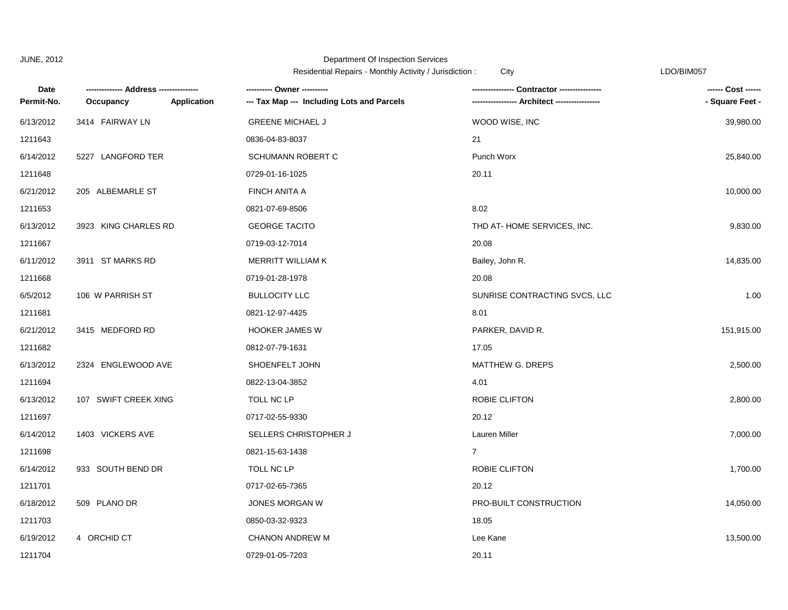|            |                                        |             | Residential Repairs - Monthly Activity / Jurisdiction :<br>City |                               | LDO/BIM057         |  |
|------------|----------------------------------------|-------------|-----------------------------------------------------------------|-------------------------------|--------------------|--|
| Date       | -------------- Address --------------- |             | ---------- Owner ----------                                     |                               | ------ Cost ------ |  |
| Permit-No. | Occupancy                              | Application | --- Tax Map --- Including Lots and Parcels                      |                               | - Square Feet -    |  |
| 6/13/2012  | 3414 FAIRWAY LN                        |             | <b>GREENE MICHAEL J</b>                                         | WOOD WISE, INC                | 39,980.00          |  |
| 1211643    |                                        |             | 0836-04-83-8037                                                 | 21                            |                    |  |
| 6/14/2012  | 5227 LANGFORD TER                      |             | <b>SCHUMANN ROBERT C</b>                                        | Punch Worx                    | 25,840.00          |  |
| 1211648    |                                        |             | 0729-01-16-1025                                                 | 20.11                         |                    |  |
| 6/21/2012  | 205 ALBEMARLE ST                       |             | FINCH ANITA A                                                   |                               | 10,000.00          |  |
| 1211653    |                                        |             | 0821-07-69-8506                                                 | 8.02                          |                    |  |
| 6/13/2012  | 3923 KING CHARLES RD                   |             | <b>GEORGE TACITO</b>                                            | THD AT-HOME SERVICES, INC.    | 9,830.00           |  |
| 1211667    |                                        |             | 0719-03-12-7014                                                 | 20.08                         |                    |  |
| 6/11/2012  | 3911 ST MARKS RD                       |             | MERRITT WILLIAM K                                               | Bailey, John R.               | 14,835.00          |  |
| 1211668    |                                        |             | 0719-01-28-1978                                                 | 20.08                         |                    |  |
| 6/5/2012   | 106 W PARRISH ST                       |             | <b>BULLOCITY LLC</b>                                            | SUNRISE CONTRACTING SVCS, LLC | 1.00               |  |
| 1211681    |                                        |             | 0821-12-97-4425                                                 | 8.01                          |                    |  |
| 6/21/2012  | 3415 MEDFORD RD                        |             | <b>HOOKER JAMES W</b>                                           | PARKER, DAVID R.              | 151,915.00         |  |
| 1211682    |                                        |             | 0812-07-79-1631                                                 | 17.05                         |                    |  |
| 6/13/2012  | 2324 ENGLEWOOD AVE                     |             | SHOENFELT JOHN                                                  | MATTHEW G. DREPS              | 2,500.00           |  |
| 1211694    |                                        |             | 0822-13-04-3852                                                 | 4.01                          |                    |  |
| 6/13/2012  | 107 SWIFT CREEK XING                   |             | TOLL NC LP                                                      | ROBIE CLIFTON                 | 2,800.00           |  |
| 1211697    |                                        |             | 0717-02-55-9330                                                 | 20.12                         |                    |  |
| 6/14/2012  | 1403 VICKERS AVE                       |             | SELLERS CHRISTOPHER J                                           | Lauren Miller                 | 7,000.00           |  |
| 1211698    |                                        |             | 0821-15-63-1438                                                 | $\overline{7}$                |                    |  |
| 6/14/2012  | 933 SOUTH BEND DR                      |             | TOLL NC LP                                                      | ROBIE CLIFTON                 | 1,700.00           |  |
| 1211701    |                                        |             | 0717-02-65-7365                                                 | 20.12                         |                    |  |
| 6/18/2012  | 509 PLANO DR                           |             | JONES MORGAN W                                                  | PRO-BUILT CONSTRUCTION        | 14,050.00          |  |
| 1211703    |                                        |             | 0850-03-32-9323                                                 | 18.05                         |                    |  |
| 6/19/2012  | 4 ORCHID CT                            |             | <b>CHANON ANDREW M</b>                                          | Lee Kane                      | 13,500.00          |  |
| 1211704    |                                        |             | 0729-01-05-7203                                                 | 20.11                         |                    |  |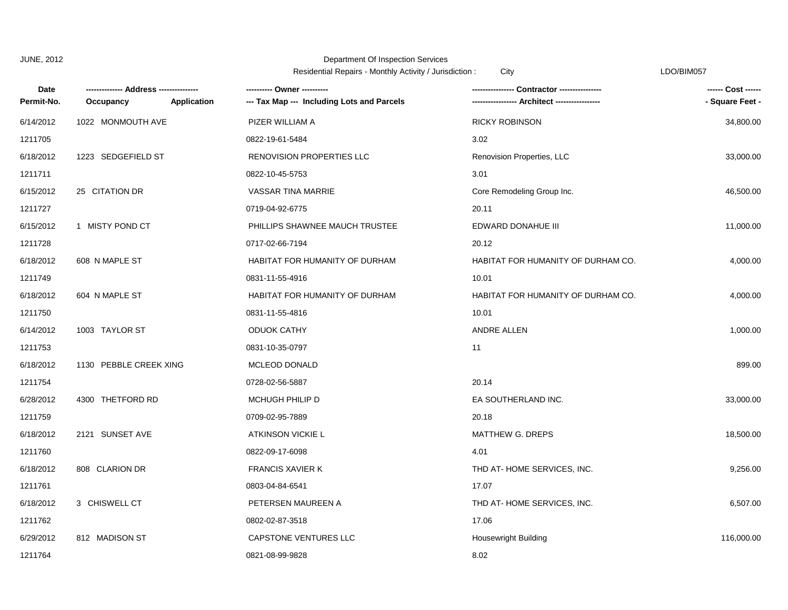|            |                        |                             | <b>INCONCLINION INCLUS</b> TWORLING ACTIVITY / JUITSUICTION. | Ulty                               | ∟∟∪∪⊔∪∪∪           |
|------------|------------------------|-----------------------------|--------------------------------------------------------------|------------------------------------|--------------------|
| Date       |                        | --- Address --------------- | ---------- Owner ----------                                  |                                    | ------ Cost ------ |
| Permit-No. | Occupancy              | Application                 | --- Tax Map --- Including Lots and Parcels                   |                                    | - Square Feet -    |
| 6/14/2012  | 1022 MONMOUTH AVE      |                             | PIZER WILLIAM A                                              | <b>RICKY ROBINSON</b>              | 34,800.00          |
| 1211705    |                        |                             | 0822-19-61-5484                                              | 3.02                               |                    |
| 6/18/2012  | 1223 SEDGEFIELD ST     |                             | RENOVISION PROPERTIES LLC                                    | Renovision Properties, LLC         | 33,000.00          |
| 1211711    |                        |                             | 0822-10-45-5753                                              | 3.01                               |                    |
| 6/15/2012  | 25 CITATION DR         |                             | VASSAR TINA MARRIE                                           | Core Remodeling Group Inc.         | 46,500.00          |
| 1211727    |                        |                             | 0719-04-92-6775                                              | 20.11                              |                    |
| 6/15/2012  | 1 MISTY POND CT        |                             | PHILLIPS SHAWNEE MAUCH TRUSTEE                               | EDWARD DONAHUE III                 | 11,000.00          |
| 1211728    |                        |                             | 0717-02-66-7194                                              | 20.12                              |                    |
| 6/18/2012  | 608 N MAPLE ST         |                             | <b>HABITAT FOR HUMANITY OF DURHAM</b>                        | HABITAT FOR HUMANITY OF DURHAM CO. | 4,000.00           |
| 1211749    |                        |                             | 0831-11-55-4916                                              | 10.01                              |                    |
| 6/18/2012  | 604 N MAPLE ST         |                             | HABITAT FOR HUMANITY OF DURHAM                               | HABITAT FOR HUMANITY OF DURHAM CO. | 4,000.00           |
| 1211750    |                        |                             | 0831-11-55-4816                                              | 10.01                              |                    |
| 6/14/2012  | 1003 TAYLOR ST         |                             | <b>ODUOK CATHY</b>                                           | ANDRE ALLEN                        | 1,000.00           |
| 1211753    |                        |                             | 0831-10-35-0797                                              | 11                                 |                    |
| 6/18/2012  | 1130 PEBBLE CREEK XING |                             | MCLEOD DONALD                                                |                                    | 899.00             |
| 1211754    |                        |                             | 0728-02-56-5887                                              | 20.14                              |                    |
| 6/28/2012  | 4300 THETFORD RD       |                             | MCHUGH PHILIP D                                              | EA SOUTHERLAND INC.                | 33,000.00          |
| 1211759    |                        |                             | 0709-02-95-7889                                              | 20.18                              |                    |
| 6/18/2012  | 2121 SUNSET AVE        |                             | ATKINSON VICKIE L                                            | MATTHEW G. DREPS                   | 18,500.00          |
| 1211760    |                        |                             | 0822-09-17-6098                                              | 4.01                               |                    |
| 6/18/2012  | 808 CLARION DR         |                             | <b>FRANCIS XAVIER K</b>                                      | THD AT-HOME SERVICES, INC.         | 9,256.00           |
| 1211761    |                        |                             | 0803-04-84-6541                                              | 17.07                              |                    |
| 6/18/2012  | 3 CHISWELL CT          |                             | PETERSEN MAUREEN A                                           | THD AT-HOME SERVICES, INC.         | 6,507.00           |
| 1211762    |                        |                             | 0802-02-87-3518                                              | 17.06                              |                    |
| 6/29/2012  | 812 MADISON ST         |                             | <b>CAPSTONE VENTURES LLC</b>                                 | <b>Housewright Building</b>        | 116,000.00         |
| 1211764    |                        |                             | 0821-08-99-9828                                              | 8.02                               |                    |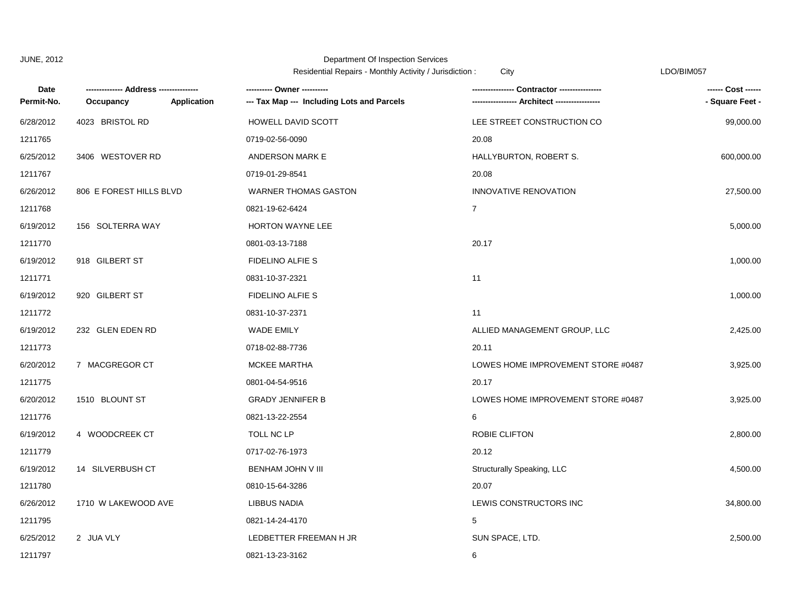|            |                         |                    | Residential Repairs - Monthly Activity / Jurisdiction :<br>City |                                    | LDO/BIM057         |
|------------|-------------------------|--------------------|-----------------------------------------------------------------|------------------------------------|--------------------|
| Date       | Address -----           |                    |                                                                 | Contractor ----------------        | ------ Cost ------ |
| Permit-No. | Occupancy               | <b>Application</b> | --- Tax Map --- Including Lots and Parcels                      |                                    | - Square Feet -    |
| 6/28/2012  | 4023 BRISTOL RD         |                    | HOWELL DAVID SCOTT                                              | LEE STREET CONSTRUCTION CO         | 99,000.00          |
| 1211765    |                         |                    | 0719-02-56-0090                                                 | 20.08                              |                    |
| 6/25/2012  | 3406 WESTOVER RD        |                    | ANDERSON MARK E                                                 | HALLYBURTON, ROBERT S.             | 600,000.00         |
| 1211767    |                         |                    | 0719-01-29-8541                                                 | 20.08                              |                    |
| 6/26/2012  | 806 E FOREST HILLS BLVD |                    | <b>WARNER THOMAS GASTON</b>                                     | INNOVATIVE RENOVATION              | 27,500.00          |
| 1211768    |                         |                    | 0821-19-62-6424                                                 | $\overline{7}$                     |                    |
| 6/19/2012  | 156 SOLTERRA WAY        |                    | HORTON WAYNE LEE                                                |                                    | 5,000.00           |
| 1211770    |                         |                    | 0801-03-13-7188                                                 | 20.17                              |                    |
| 6/19/2012  | 918 GILBERT ST          |                    | <b>FIDELINO ALFIE S</b>                                         |                                    | 1,000.00           |
| 1211771    |                         |                    | 0831-10-37-2321                                                 | 11                                 |                    |
| 6/19/2012  | 920 GILBERT ST          |                    | <b>FIDELINO ALFIE S</b>                                         |                                    | 1,000.00           |
| 1211772    |                         |                    | 0831-10-37-2371                                                 | 11                                 |                    |
| 6/19/2012  | 232 GLEN EDEN RD        |                    | <b>WADE EMILY</b>                                               | ALLIED MANAGEMENT GROUP, LLC       | 2,425.00           |
| 1211773    |                         |                    | 0718-02-88-7736                                                 | 20.11                              |                    |
| 6/20/2012  | 7 MACGREGOR CT          |                    | MCKEE MARTHA                                                    | LOWES HOME IMPROVEMENT STORE #0487 | 3,925.00           |
| 1211775    |                         |                    | 0801-04-54-9516                                                 | 20.17                              |                    |
| 6/20/2012  | 1510 BLOUNT ST          |                    | <b>GRADY JENNIFER B</b>                                         | LOWES HOME IMPROVEMENT STORE #0487 | 3,925.00           |
| 1211776    |                         |                    | 0821-13-22-2554                                                 | 6                                  |                    |
| 6/19/2012  | 4 WOODCREEK CT          |                    | TOLL NC LP                                                      | ROBIE CLIFTON                      | 2,800.00           |
| 1211779    |                         |                    | 0717-02-76-1973                                                 | 20.12                              |                    |
| 6/19/2012  | 14 SILVERBUSH CT        |                    | BENHAM JOHN V III                                               | Structurally Speaking, LLC         | 4,500.00           |
| 1211780    |                         |                    | 0810-15-64-3286                                                 | 20.07                              |                    |
| 6/26/2012  | 1710 W LAKEWOOD AVE     |                    | <b>LIBBUS NADIA</b>                                             | LEWIS CONSTRUCTORS INC             | 34,800.00          |
| 1211795    |                         |                    | 0821-14-24-4170                                                 | 5                                  |                    |
| 6/25/2012  | 2 JUA VLY               |                    | LEDBETTER FREEMAN H JR                                          | SUN SPACE, LTD.                    | 2,500.00           |
| 1211797    |                         |                    | 0821-13-23-3162                                                 | 6                                  |                    |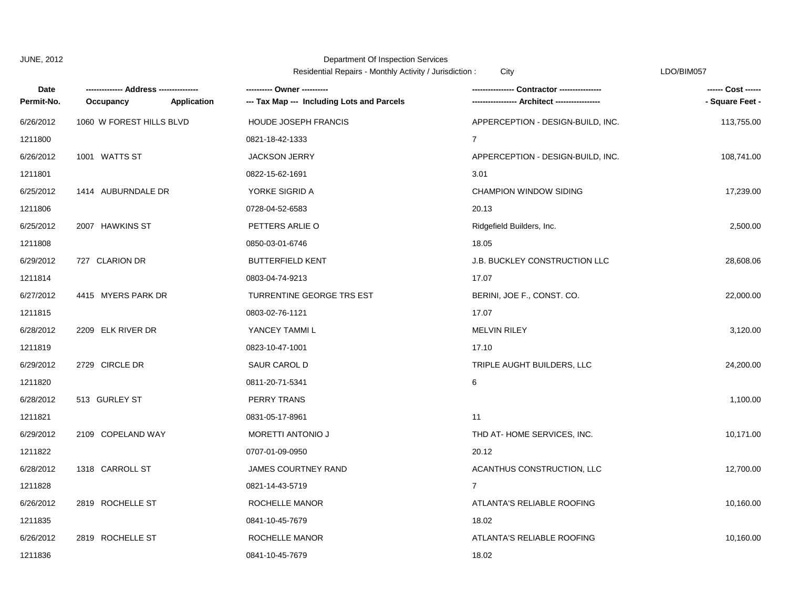| Date       |                          |             | residential repairs monthly retivity / cancalotion.<br>---------- Owner ---------- |                                      | ------ Cost ------ |
|------------|--------------------------|-------------|------------------------------------------------------------------------------------|--------------------------------------|--------------------|
| Permit-No. | Occupancy                | Application | --- Tax Map --- Including Lots and Parcels                                         |                                      | - Square Feet -    |
| 6/26/2012  | 1060 W FOREST HILLS BLVD |             | <b>HOUDE JOSEPH FRANCIS</b>                                                        | APPERCEPTION - DESIGN-BUILD, INC.    | 113,755.00         |
| 1211800    |                          |             | 0821-18-42-1333                                                                    | $\overline{7}$                       |                    |
| 6/26/2012  | 1001 WATTS ST            |             | <b>JACKSON JERRY</b>                                                               | APPERCEPTION - DESIGN-BUILD, INC.    | 108,741.00         |
| 1211801    |                          |             | 0822-15-62-1691                                                                    | 3.01                                 |                    |
| 6/25/2012  | 1414 AUBURNDALE DR       |             | YORKE SIGRID A                                                                     | <b>CHAMPION WINDOW SIDING</b>        | 17,239.00          |
| 1211806    |                          |             | 0728-04-52-6583                                                                    | 20.13                                |                    |
| 6/25/2012  | 2007 HAWKINS ST          |             | PETTERS ARLIE O                                                                    | Ridgefield Builders, Inc.            | 2,500.00           |
| 1211808    |                          |             | 0850-03-01-6746                                                                    | 18.05                                |                    |
| 6/29/2012  | 727 CLARION DR           |             | <b>BUTTERFIELD KENT</b>                                                            | <b>J.B. BUCKLEY CONSTRUCTION LLC</b> | 28,608.06          |
| 1211814    |                          |             | 0803-04-74-9213                                                                    | 17.07                                |                    |
| 6/27/2012  | 4415 MYERS PARK DR       |             | TURRENTINE GEORGE TRS EST                                                          | BERINI, JOE F., CONST. CO.           | 22,000.00          |
| 1211815    |                          |             | 0803-02-76-1121                                                                    | 17.07                                |                    |
| 6/28/2012  | 2209 ELK RIVER DR        |             | YANCEY TAMMI L                                                                     | <b>MELVIN RILEY</b>                  | 3,120.00           |
| 1211819    |                          |             | 0823-10-47-1001                                                                    | 17.10                                |                    |
| 6/29/2012  | 2729 CIRCLE DR           |             | SAUR CAROL D                                                                       | TRIPLE AUGHT BUILDERS, LLC           | 24,200.00          |
| 1211820    |                          |             | 0811-20-71-5341                                                                    | 6                                    |                    |
| 6/28/2012  | 513 GURLEY ST            |             | PERRY TRANS                                                                        |                                      | 1,100.00           |
| 1211821    |                          |             | 0831-05-17-8961                                                                    | 11                                   |                    |
| 6/29/2012  | 2109 COPELAND WAY        |             | MORETTI ANTONIO J                                                                  | THD AT-HOME SERVICES, INC.           | 10,171.00          |
| 1211822    |                          |             | 0707-01-09-0950                                                                    | 20.12                                |                    |
| 6/28/2012  | 1318 CARROLL ST          |             | <b>JAMES COURTNEY RAND</b>                                                         | ACANTHUS CONSTRUCTION, LLC           | 12,700.00          |
| 1211828    |                          |             | 0821-14-43-5719                                                                    | 7                                    |                    |
| 6/26/2012  | 2819 ROCHELLE ST         |             | ROCHELLE MANOR                                                                     | ATLANTA'S RELIABLE ROOFING           | 10,160.00          |
| 1211835    |                          |             | 0841-10-45-7679                                                                    | 18.02                                |                    |
| 6/26/2012  | 2819 ROCHELLE ST         |             | ROCHELLE MANOR                                                                     | ATLANTA'S RELIABLE ROOFING           | 10,160.00          |
| 1211836    |                          |             | 0841-10-45-7679                                                                    | 18.02                                |                    |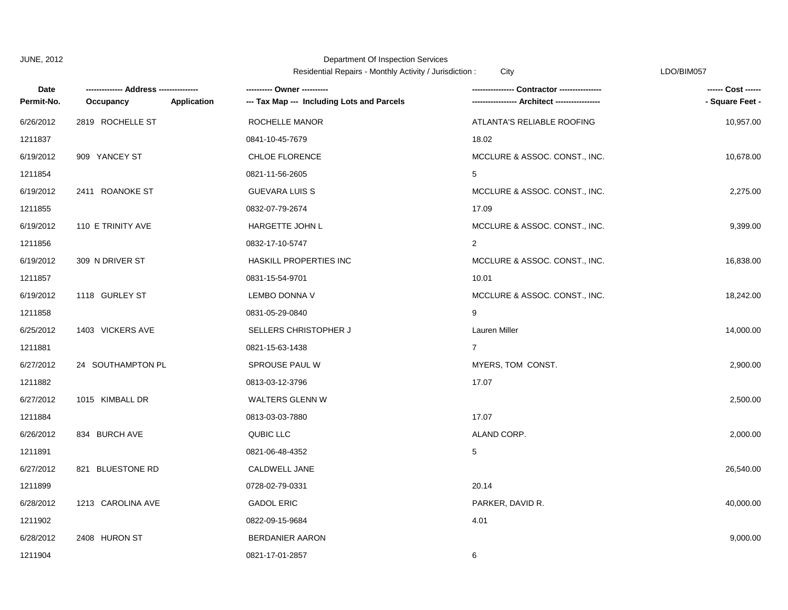Residential Repairs - Monthly Activity / Jurisdiction : City Changes Contained the CDO/BIM057

| Date       |                          | ---------- Owner ----------                |                               | ------ Cost ------ |
|------------|--------------------------|--------------------------------------------|-------------------------------|--------------------|
| Permit-No. | Application<br>Occupancy | --- Tax Map --- Including Lots and Parcels | ---- Architect ------         | - Square Feet -    |
| 6/26/2012  | 2819 ROCHELLE ST         | ROCHELLE MANOR                             | ATLANTA'S RELIABLE ROOFING    | 10,957.00          |
| 1211837    |                          | 0841-10-45-7679                            | 18.02                         |                    |
| 6/19/2012  | 909 YANCEY ST            | CHLOE FLORENCE                             | MCCLURE & ASSOC. CONST., INC. | 10,678.00          |
| 1211854    |                          | 0821-11-56-2605                            | 5                             |                    |
| 6/19/2012  | 2411 ROANOKE ST          | <b>GUEVARA LUIS S</b>                      | MCCLURE & ASSOC. CONST., INC. | 2,275.00           |
| 1211855    |                          | 0832-07-79-2674                            | 17.09                         |                    |
| 6/19/2012  | 110 E TRINITY AVE        | HARGETTE JOHN L                            | MCCLURE & ASSOC. CONST., INC. | 9,399.00           |
| 1211856    |                          | 0832-17-10-5747                            | 2                             |                    |
| 6/19/2012  | 309 N DRIVER ST          | HASKILL PROPERTIES INC                     | MCCLURE & ASSOC. CONST., INC. | 16,838.00          |
| 1211857    |                          | 0831-15-54-9701                            | 10.01                         |                    |
| 6/19/2012  | 1118 GURLEY ST           | LEMBO DONNA V                              | MCCLURE & ASSOC. CONST., INC. | 18,242.00          |
| 1211858    |                          | 0831-05-29-0840                            | 9                             |                    |
| 6/25/2012  | 1403 VICKERS AVE         | SELLERS CHRISTOPHER J                      | Lauren Miller                 | 14,000.00          |
| 1211881    |                          | 0821-15-63-1438                            | $\overline{7}$                |                    |
| 6/27/2012  | 24 SOUTHAMPTON PL        | SPROUSE PAUL W                             | MYERS, TOM CONST.             | 2,900.00           |
| 1211882    |                          | 0813-03-12-3796                            | 17.07                         |                    |
| 6/27/2012  | 1015 KIMBALL DR          | WALTERS GLENN W                            |                               | 2,500.00           |
| 1211884    |                          | 0813-03-03-7880                            | 17.07                         |                    |
| 6/26/2012  | 834 BURCH AVE            | QUBIC LLC                                  | ALAND CORP.                   | 2,000.00           |
| 1211891    |                          | 0821-06-48-4352                            | 5                             |                    |
| 6/27/2012  | 821 BLUESTONE RD         | CALDWELL JANE                              |                               | 26,540.00          |
| 1211899    |                          | 0728-02-79-0331                            | 20.14                         |                    |
| 6/28/2012  | 1213 CAROLINA AVE        | <b>GADOL ERIC</b>                          | PARKER, DAVID R.              | 40,000.00          |
| 1211902    |                          | 0822-09-15-9684                            | 4.01                          |                    |
| 6/28/2012  | 2408 HURON ST            | <b>BERDANIER AARON</b>                     |                               | 9,000.00           |
| 1211904    |                          | 0821-17-01-2857                            | 6                             |                    |